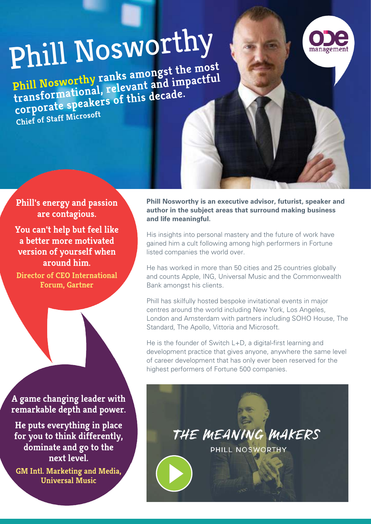# [Phill Nosworthy](https://odemanagement.com/speakers/phill-nosworthy)

**Phill Nosworthy ranks amongst the most transformational, relevant and impactful**  transformational, Leicens<sub>e</sub> decade.<br>corporate speakers of this decade. **Chief of Staff Microsoft**

**Phill's energy and passion are contagious.** 

**You can't help but feel like a better more motivated version of yourself when around him.**

**Director of CEO International Forum, Gartner**

**A game changing leader with remarkable depth and power.**

**He puts everything in place for you to think differently, dominate and go to the next level.**

**GM Intl. Marketing and Media, Universal Music**

**Phill Nosworthy is an executive advisor, futurist, speaker and author in the subject areas that surround making business and life meaningful.**

His insights into personal mastery and the future of work have gained him a cult following among high performers in Fortune listed companies the world over.

He has worked in more than 50 cities and 25 countries globally and counts Apple, ING, Universal Music and the Commonwealth Bank amongst his clients.

Phill has skilfully hosted bespoke invitational events in major centres around the world including New York, Los Angeles, London and Amsterdam with partners including SOHO House, The Standard, The Apollo, Vittoria and Microsoft.

He is the founder of Switch L+D, a digital-first learning and development practice that gives anyone, anywhere the same level of career development that has only ever been reserved for the highest performers of Fortune 500 companies.

> THE MEANING MAKERS PHILL NOSWORTHY